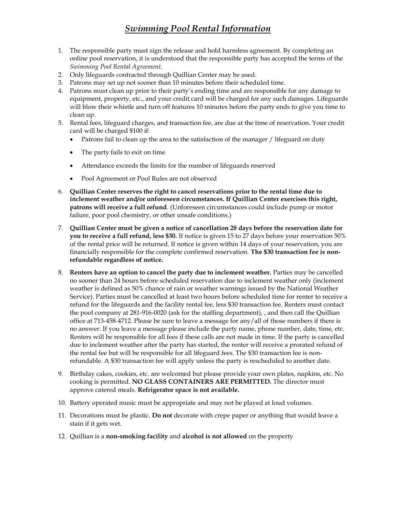# *Swimming Pool Rental Information*

- 1. The responsible party must sign the release and hold harmless agreement. By completing an online pool reservation, it is understood that the responsible party has accepted the terms of the *Swimming Pool Rental Agreement*.
- 2. Only lifeguards contracted through Quillian Center may be used.
- 3. Patrons may set up not sooner than 10 minutes before their scheduled time.
- 4. Patrons must clean up prior to their party's ending time and are responsible for any damage to equipment, property, etc., and your credit card will be charged for any such damages. Lifeguards will blow their whistle and turn off features 10 minutes before the party ends to give you time to clean up.
- 5. Rental fees, lifeguard charges, and transaction fee, are due at the time of reservation. Your credit card will be charged \$100 if:
	- Patrons fail to clean up the area to the satisfaction of the manager / lifeguard on duty
	- The party fails to exit on time
	- Attendance exceeds the limits for the number of lifeguards reserved
	- Pool Agreement or Pool Rules are not observed
- 6. **Quillian Center reserves the right to cancel reservations prior to the rental time due to inclement weather and/or unforeseen circumstances. If Quillian Center exercises this right, patrons will receive a full refund**. (Unforeseen circumstances could include pump or motor failure, poor pool chemistry, or other unsafe conditions.)
- 7. **Quillian Center must be given a notice of cancellation 28 days before the reservation date for you to receive a full refund, less \$30.** If notice is given 15 to 27 days before your reservation 50% of the rental price will be returned. If notice is given within 14 days of your reservation, you are financially responsible for the complete confirmed reservation. **The \$30 transaction fee is nonrefundable regardless of notice.**
- 8. **Renters have an option to cancel the party due to inclement weather.** Parties may be cancelled no sooner than 24 hours before scheduled reservation due to inclement weather only (inclement weather is defined as 50% chance of rain or weather warnings issued by the National Weather Service). Parties must be cancelled at least two hours before scheduled time for renter to receive a refund for the lifeguards and the facility rental fee, less \$30 transaction fee. Renters must contact the pool company at 281-916-0020 (ask for the staffing department), , and then call the Quillian office at 713-458-4712. Please be sure to leave a message for any/all of those numbers if there is no answer. If you leave a message please include the party name, phone number, date, time, etc. Renters will be responsible for all fees if these calls are not made in time. If the party is cancelled due to inclement weather after the party has started, the renter will receive a prorated refund of the rental fee but will be responsible for all lifeguard fees. The \$30 transaction fee is nonrefundable. A \$30 transaction fee will apply unless the party is rescheduled to another date.
- 9. Birthday cakes, cookies, etc. are welcomed but please provide your own plates, napkins, etc. No cooking is permitted. **NO GLASS CONTAINERS ARE PERMITTED.** The director must approve catered meals. **Refrigerator space is not available.**
- 10. Battery operated music must be appropriate and may not be played at loud volumes.
- 11. Decorations must be plastic. **Do not** decorate with crepe paper or anything that would leave a stain if it gets wet.
- 12. Quillian is a **non-smoking facility** and **alcohol is not allowed** on the property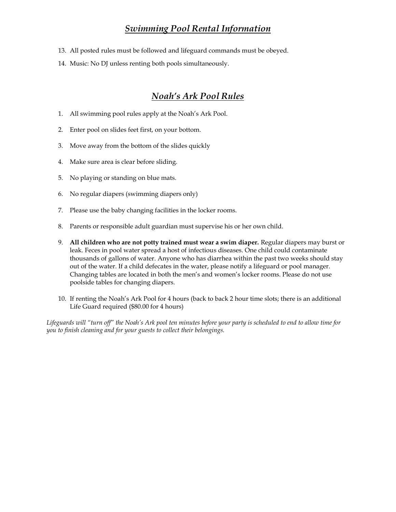### *Swimming Pool Rental Information*

- 13. All posted rules must be followed and lifeguard commands must be obeyed.
- 14. Music: No DJ unless renting both pools simultaneously.

### *Noah's Ark Pool Rules*

- 1. All swimming pool rules apply at the Noah's Ark Pool.
- 2. Enter pool on slides feet first, on your bottom.
- 3. Move away from the bottom of the slides quickly
- 4. Make sure area is clear before sliding.
- 5. No playing or standing on blue mats.
- 6. No regular diapers (swimming diapers only)
- 7. Please use the baby changing facilities in the locker rooms.
- 8. Parents or responsible adult guardian must supervise his or her own child.
- 9. **All children who are not potty trained must wear a swim diaper.** Regular diapers may burst or leak. Feces in pool water spread a host of infectious diseases. One child could contaminate thousands of gallons of water. Anyone who has diarrhea within the past two weeks should stay out of the water. If a child defecates in the water, please notify a lifeguard or pool manager. Changing tables are located in both the men's and women's locker rooms. Please do not use poolside tables for changing diapers.
- 10. If renting the Noah's Ark Pool for 4 hours (back to back 2 hour time slots; there is an additional Life Guard required (\$80.00 for 4 hours)

*Lifeguards will "turn off" the Noah's Ark pool ten minutes before your party is scheduled to end to allow time for you to finish cleaning and for your guests to collect their belongings.*